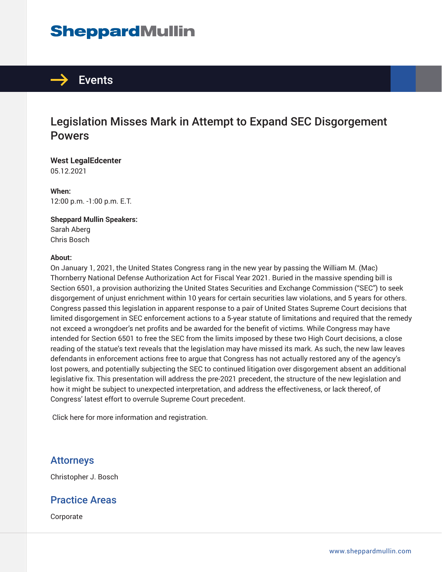## **SheppardMullin**



### Legislation Misses Mark in Attempt to Expand SEC Disgorgement **Powers**

**West LegalEdcenter** 05.12.2021

**When:** 12:00 p.m. -1:00 p.m. E.T.

#### **Sheppard Mullin Speakers:** Sarah Aberg

Chris Bosch

#### **About:**

On January 1, 2021, the United States Congress rang in the new year by passing the William M. (Mac) Thornberry National Defense Authorization Act for Fiscal Year 2021. Buried in the massive spending bill is Section 6501, a provision authorizing the United States Securities and Exchange Commission ("SEC") to seek disgorgement of unjust enrichment within 10 years for certain securities law violations, and 5 years for others. Congress passed this legislation in apparent response to a pair of United States Supreme Court decisions that limited disgorgement in SEC enforcement actions to a 5-year statute of limitations and required that the remedy not exceed a wrongdoer's net profits and be awarded for the benefit of victims. While Congress may have intended for Section 6501 to free the SEC from the limits imposed by these two High Court decisions, a close reading of the statue's text reveals that the legislation may have missed its mark. As such, the new law leaves defendants in enforcement actions free to argue that Congress has not actually restored any of the agency's lost powers, and potentially subjecting the SEC to continued litigation over disgorgement absent an additional legislative fix. This presentation will address the pre-2021 precedent, the structure of the new legislation and how it might be subject to unexpected interpretation, and address the effectiveness, or lack thereof, of Congress' latest effort to overrule Supreme Court precedent.

Click here for more information and registration.

#### Attorneys

Christopher J. Bosch

#### Practice Areas

Corporate